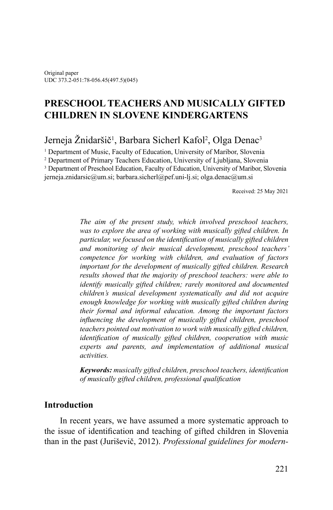# **PRESCHOOL TEACHERS AND MUSICALLY GIFTED CHILDREN IN SLOVENE KINDERGARTENS**

# Jerneja Žnidaršič<sup>1</sup>, Barbara Sicherl Kafol<sup>2</sup>, Olga Denac<sup>3</sup>

<sup>1</sup> Department of Music, Faculty of Education, University of Maribor, Slovenia

<sup>2</sup> Department of Primary Teachers Education, University of Ljubljana, Slovenia

<sup>3</sup> Department of Preschool Education, Faculty of Education, University of Maribor, Slovenia

jerneja.znidarsic@um.si; [barbara.sicherl@pef.uni-lj.si;](mailto:barbara.sicherl@pef.uni-lj.si) [olga.denac@um.si](mailto:olga.denac@um.si)

Received: 25 May 2021

*The aim of the present study, which involved preschool teachers, was to explore the area of working with musically gifted children. In particular, we focused on the identification of musically gifted children and monitoring of their musical development, preschool teachers' competence for working with children, and evaluation of factors important for the development of musically gifted children. Research results showed that the majority of preschool teachers: were able to identify musically gifted children; rarely monitored and documented children's musical development systematically and did not acquire enough knowledge for working with musically gifted children during their formal and informal education. Among the important factors influencing the development of musically gifted children, preschool teachers pointed out motivation to work with musically gifted children, identification of musically gifted children, cooperation with music experts and parents, and implementation of additional musical activities.*

*Keywords: musically gifted children, preschool teachers, identification of musically gifted children, professional qualification*

## **Introduction**

In recent years, we have assumed a more systematic approach to the issue of identification and teaching of gifted children in Slovenia than in the past (Juriševič, 2012). *Professional guidelines for modern-*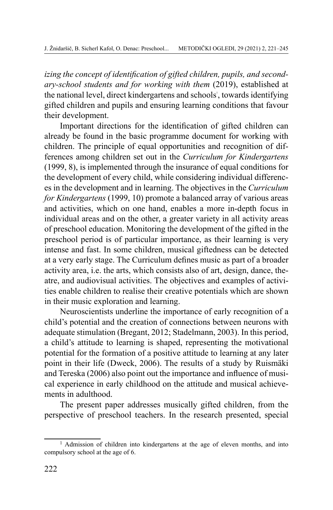*izing the concept of identification of gifted children, pupils, and secondary-school students and for working with them* (2019), established at the national level, direct kindergartens and schools', towards identifying gifted children and pupils and ensuring learning conditions that favour their development.

Important directions for the identification of gifted children can already be found in the basic programme document for working with children. The principle of equal opportunities and recognition of differences among children set out in the *Curriculum for Kindergartens* (1999, 8), is implemented through the insurance of equal conditions for the development of every child, while considering individual differences in the development and in learning. The objectives in the *Curriculum for Kindergartens* (1999, 10) promote a balanced array of various areas and activities, which on one hand, enables a more in-depth focus in individual areas and on the other, a greater variety in all activity areas of preschool education. Monitoring the development of the gifted in the preschool period is of particular importance, as their learning is very intense and fast. In some children, musical giftedness can be detected at a very early stage. The Curriculum defines music as part of a broader activity area, i.e. the arts, which consists also of art, design, dance, theatre, and audiovisual activities. The objectives and examples of activities enable children to realise their creative potentials which are shown in their music exploration and learning.

Neuroscientists underline the importance of early recognition of a child's potential and the creation of connections between neurons with adequate stimulation (Bregant, 2012; Stadelmann, 2003). In this period, a child's attitude to learning is shaped, representing the motivational potential for the formation of a positive attitude to learning at any later point in their life (Dweck, 2006). The results of a study by Ruismäki and Tereska (2006) also point out the importance and influence of musical experience in early childhood on the attitude and musical achievements in adulthood.

The present paper addresses musically gifted children, from the perspective of preschool teachers. In the research presented, special

<sup>&</sup>lt;sup>1</sup> Admission of children into kindergartens at the age of eleven months, and into compulsory school at the age of 6.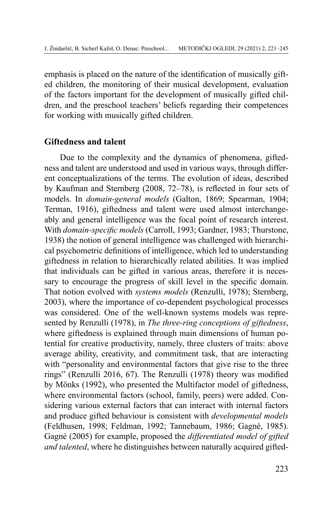emphasis is placed on the nature of the identification of musically gifted children, the monitoring of their musical development, evaluation of the factors important for the development of musically gifted children, and the preschool teachers' beliefs regarding their competences for working with musically gifted children.

#### **Giftedness and talent**

Due to the complexity and the dynamics of phenomena, giftedness and talent are understood and used in various ways, through different conceptualizations of the terms. The evolution of ideas, described by Kaufman and Sternberg (2008, 72–78), is reflected in four sets of models. In *domain-general models* (Galton, 1869; Spearman, 1904; Terman, 1916), giftedness and talent were used almost interchangeably and general intelligence was the focal point of research interest. With *domain-specific models* (Carroll, 1993; Gardner, 1983; Thurstone, 1938) the notion of general intelligence was challenged with hierarchical psychometric definitions of intelligence, which led to understanding giftedness in relation to hierarchically related abilities. It was implied that individuals can be gifted in various areas, therefore it is necessary to encourage the progress of skill level in the specific domain. That notion evolved with *systems models* (Renzulli, 1978); Sternberg, 2003), where the importance of co-dependent psychological processes was considered. One of the well-known systems models was represented by Renzulli (1978), in *The three-ring conceptions of giftedness*, where giftedness is explained through main dimensions of human potential for creative productivity, namely, three clusters of traits: above average ability, creativity, and commitment task, that are interacting with "personality and environmental factors that give rise to the three rings" (Renzulli 2016, 67). The Renzulli (1978) theory was modified by Mönks (1992), who presented the Multifactor model of giftedness, where environmental factors (school, family, peers) were added. Considering various external factors that can interact with internal factors and produce gifted behaviour is consistent with *developmental models* (Feldhusen, 1998; Feldman, 1992; Tannebaum, 1986; Gagné, 1985). Gagné (2005) for example, proposed the *differentiated model of gifted and talented*, where he distinguishes between naturally acquired gifted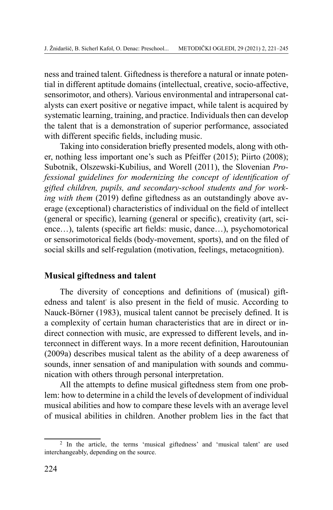ness and trained talent. Giftedness is therefore a natural or innate potential in different aptitude domains (intellectual, creative, socio-affective, sensorimotor, and others). Various environmental and intrapersonal catalysts can exert positive or negative impact, while talent is acquired by systematic learning, training, and practice. Individuals then can develop the talent that is a demonstration of superior performance, associated with different specific fields, including music.

Taking into consideration briefly presented models, along with other, nothing less important one's such as Pfeiffer (2015); Piirto (2008); Subotnik, Olszewski-Kubilius, and Worell (2011), the Slovenian *Professional guidelines for modernizing the concept of identification of gifted children, pupils, and secondary-school students and for working with them* (2019) define giftedness as an outstandingly above average (exceptional) characteristics of individual on the field of intellect (general or specific), learning (general or specific), creativity (art, science…), talents (specific art fields: music, dance…), psychomotorical or sensorimotorical fields (body-movement, sports), and on the filed of social skills and self-regulation (motivation, feelings, metacognition).

## **Musical giftedness and talent**

The diversity of conceptions and definitions of (musical) giftedness and talent is also present in the field of music. According to Nauck-Börner (1983), musical talent cannot be precisely defined. It is a complexity of certain human characteristics that are in direct or indirect connection with music, are expressed to different levels, and interconnect in different ways. In a more recent definition, Haroutounian (2009a) describes musical talent as the ability of a deep awareness of sounds, inner sensation of and manipulation with sounds and communication with others through personal interpretation.

All the attempts to define musical giftedness stem from one problem: how to determine in a child the levels of development of individual musical abilities and how to compare these levels with an average level of musical abilities in children. Another problem lies in the fact that

<sup>&</sup>lt;sup>2</sup> In the article, the terms 'musical giftedness' and 'musical talent' are used interchangeably, depending on the source.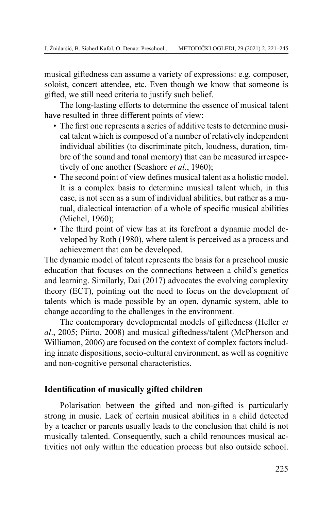musical giftedness can assume a variety of expressions: e.g. composer, soloist, concert attendee, etc. Even though we know that someone is gifted, we still need criteria to justify such belief.

The long-lasting efforts to determine the essence of musical talent have resulted in three different points of view:

- The first one represents a series of additive tests to determine musical talent which is composed of a number of relatively independent individual abilities (to discriminate pitch, loudness, duration, timbre of the sound and tonal memory) that can be measured irrespectively of one another (Seashore *et al*., 1960);
- The second point of view defines musical talent as a holistic model. It is a complex basis to determine musical talent which, in this case, is not seen as a sum of individual abilities, but rather as a mutual, dialectical interaction of a whole of specific musical abilities (Michel, 1960);
- The third point of view has at its forefront a dynamic model developed by Roth (1980), where talent is perceived as a process and achievement that can be developed.

The dynamic model of talent represents the basis for a preschool music education that focuses on the connections between a child's genetics and learning. Similarly, Dai (2017) advocates the evolving complexity theory (ECT), pointing out the need to focus on the development of talents which is made possible by an open, dynamic system, able to change according to the challenges in the environment.

The contemporary developmental models of giftedness (Heller *et al*., 2005; Piirto, 2008) and musical giftedness/talent (McPherson and Williamon, 2006) are focused on the context of complex factors including innate dispositions, socio-cultural environment, as well as cognitive and non-cognitive personal characteristics.

# **Identification of musically gifted children**

Polarisation between the gifted and non-gifted is particularly strong in music. Lack of certain musical abilities in a child detected by a teacher or parents usually leads to the conclusion that child is not musically talented. Consequently, such a child renounces musical activities not only within the education process but also outside school.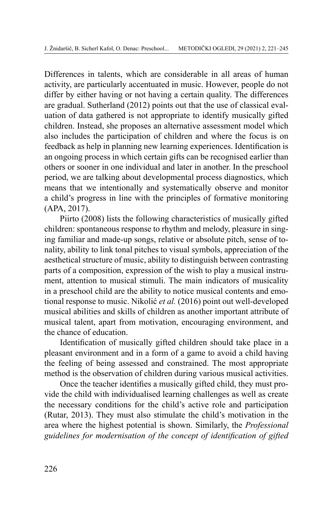Differences in talents, which are considerable in all areas of human activity, are particularly accentuated in music. However, people do not differ by either having or not having a certain quality. The differences are gradual. Sutherland (2012) points out that the use of classical evaluation of data gathered is not appropriate to identify musically gifted children. Instead, she proposes an alternative assessment model which also includes the participation of children and where the focus is on feedback as help in planning new learning experiences. Identification is an ongoing process in which certain gifts can be recognised earlier than others or sooner in one individual and later in another. In the preschool period, we are talking about developmental process diagnostics, which means that we intentionally and systematically observe and monitor a child's progress in line with the principles of formative monitoring (APA, 2017).

Piirto (2008) lists the following characteristics of musically gifted children: spontaneous response to rhythm and melody, pleasure in singing familiar and made-up songs, relative or absolute pitch, sense of tonality, ability to link tonal pitches to visual symbols, appreciation of the aesthetical structure of music, ability to distinguish between contrasting parts of a composition, expression of the wish to play a musical instrument, attention to musical stimuli. The main indicators of musicality in a preschool child are the ability to notice musical contents and emotional response to music. Nikolić *et al.* (2016) point out well-developed musical abilities and skills of children as another important attribute of musical talent, apart from motivation, encouraging environment, and the chance of education.

Identification of musically gifted children should take place in a pleasant environment and in a form of a game to avoid a child having the feeling of being assessed and constrained. The most appropriate method is the observation of children during various musical activities.

Once the teacher identifies a musically gifted child, they must provide the child with individualised learning challenges as well as create the necessary conditions for the child's active role and participation (Rutar, 2013). They must also stimulate the child's motivation in the area where the highest potential is shown. Similarly, the *Professional guidelines for modernisation of the concept of identification of gifted*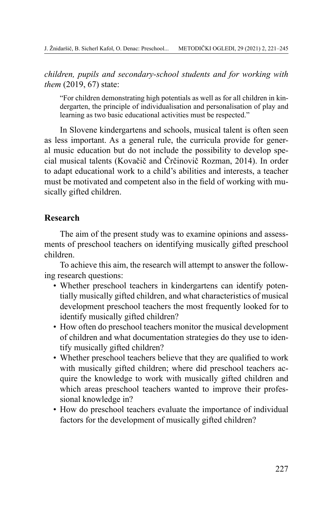*children, pupils and secondary-school students and for working with them* (2019, 67) state:

"For children demonstrating high potentials as well as for all children in kindergarten, the principle of individualisation and personalisation of play and learning as two basic educational activities must be respected."

In Slovene kindergartens and schools, musical talent is often seen as less important. As a general rule, the curricula provide for general music education but do not include the possibility to develop special musical talents (Kovačič and Črčinovič Rozman, 2014). In order to adapt educational work to a child's abilities and interests, a teacher must be motivated and competent also in the field of working with musically gifted children.

# **Research**

The aim of the present study was to examine opinions and assessments of preschool teachers on identifying musically gifted preschool children.

To achieve this aim, the research will attempt to answer the following research questions:

- Whether preschool teachers in kindergartens can identify potentially musically gifted children, and what characteristics of musical development preschool teachers the most frequently looked for to identify musically gifted children?
- How often do preschool teachers monitor the musical development of children and what documentation strategies do they use to identify musically gifted children?
- Whether preschool teachers believe that they are qualified to work with musically gifted children; where did preschool teachers acquire the knowledge to work with musically gifted children and which areas preschool teachers wanted to improve their professional knowledge in?
- How do preschool teachers evaluate the importance of individual factors for the development of musically gifted children?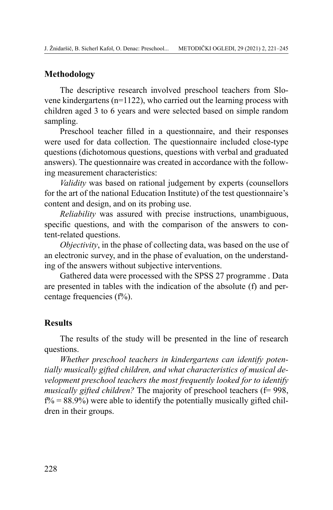## **Methodology**

The descriptive research involved preschool teachers from Slovene kindergartens (n=1122), who carried out the learning process with children aged 3 to 6 years and were selected based on simple random sampling.

Preschool teacher filled in a questionnaire, and their responses were used for data collection. The questionnaire included close-type questions (dichotomous questions, questions with verbal and graduated answers). The questionnaire was created in accordance with the following measurement characteristics:

*Validity* was based on rational judgement by experts (counsellors for the art of the national Education Institute) of the test questionnaire's content and design, and on its probing use.

*Reliability* was assured with precise instructions, unambiguous, specific questions, and with the comparison of the answers to content-related questions.

*Objectivity*, in the phase of collecting data, was based on the use of an electronic survey, and in the phase of evaluation, on the understanding of the answers without subjective interventions.

Gathered data were processed with the SPSS 27 programme . Data are presented in tables with the indication of the absolute (f) and percentage frequencies  $(f\%)$ .

#### **Results**

The results of the study will be presented in the line of research questions.

*Whether preschool teachers in kindergartens can identify potentially musically gifted children, and what characteristics of musical development preschool teachers the most frequently looked for to identify musically gifted children?* The majority of preschool teachers (f= 998,  $f\% = 88.9\%$ ) were able to identify the potentially musically gifted children in their groups.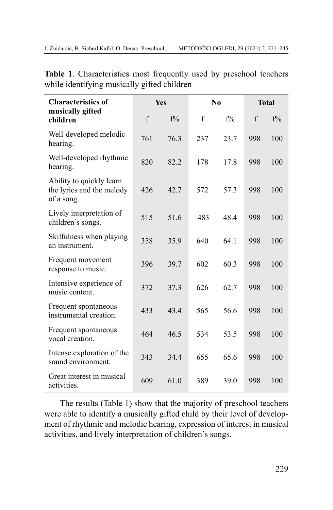| <b>Characteristics of</b>                                           | <b>Yes</b> |       |             | N <sub>0</sub> | <b>Total</b> |       |
|---------------------------------------------------------------------|------------|-------|-------------|----------------|--------------|-------|
| musically gifted<br>children                                        | f          | $f\%$ | $\mathbf f$ | $f\%$          | f            | $f\%$ |
| Well-developed melodic<br>hearing.                                  | 761        | 76.3  | 237         | 23.7           | 998          | 100   |
| Well-developed rhythmic<br>hearing.                                 | 820        | 82.2  | 178         | 17.8           | 998          | 100   |
| Ability to quickly learn<br>the lyrics and the melody<br>of a song. | 426        | 42.7  | 572         | 57.3           | 998          | 100   |
| Lively interpretation of<br>children's songs.                       | 515        | 51.6  | 483         | 48.4           | 998          | 100   |
| Skilfulness when playing<br>an instrument.                          | 358        | 35.9  | 640         | 64.1           | 998          | 100   |
| Frequent movement<br>response to music.                             | 396        | 39.7  | 602         | 60.3           | 998          | 100   |
| Intensive experience of<br>music content.                           | 372        | 37.3  | 626         | 62.7           | 998          | 100   |
| Frequent spontaneous<br>instrumental creation.                      | 433        | 43.4  | 565         | 56.6           | 998          | 100   |
| Frequent spontaneous<br>vocal creation.                             | 464        | 46.5  | 534         | 53.5           | 998          | 100   |
| Intense exploration of the<br>sound environment.                    | 343        | 34.4  | 655         | 65.6           | 998          | 100   |
| Great interest in musical<br>activities.                            | 609        | 61.0  | 389         | 39.0           | 998          | 100   |

**Table 1**. Characteristics most frequently used by preschool teachers while identifying musically gifted children

The results (Table 1) show that the majority of preschool teachers were able to identify a musically gifted child by their level of development of rhythmic and melodic hearing, expression of interest in musical activities, and lively interpretation of children's songs.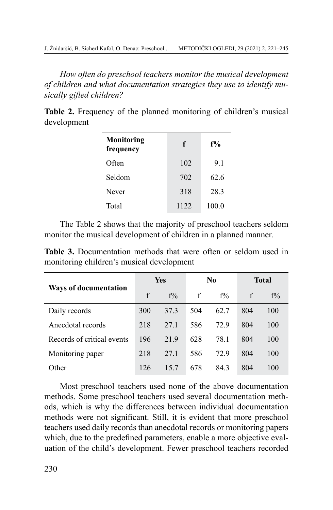*How often do preschool teachers monitor the musical development of children and what documentation strategies they use to identify musically gifted children?*

Table 2. Frequency of the planned monitoring of children's musical development

| <b>Monitoring</b><br>frequency | f    | $f\%$ |  |  |
|--------------------------------|------|-------|--|--|
| Often                          | 102  | 9.1   |  |  |
| Seldom                         | 702  | 62.6  |  |  |
| Never                          | 318  | 28.3  |  |  |
| Total                          | 1122 | 100.0 |  |  |

The Table 2 shows that the majority of preschool teachers seldom monitor the musical development of children in a planned manner.

**Table 3.** Documentation methods that were often or seldom used in monitoring children's musical development

|                              | Yes |       | N <sub>0</sub> |       | <b>Total</b> |       |
|------------------------------|-----|-------|----------------|-------|--------------|-------|
| <b>Ways of documentation</b> | f   | $f\%$ | f              | $f\%$ | f            | $f\%$ |
| Daily records                | 300 | 37.3  | 504            | 62.7  | 804          | 100   |
| Anecdotal records            | 218 | 27.1  | 586            | 72.9  | 804          | 100   |
| Records of critical events   | 196 | 219   | 628            | 78.1  | 804          | 100   |
| Monitoring paper             | 218 | 27.1  | 586            | 72.9  | 804          | 100   |
| Other                        | 126 | 157   | 678            | 843   | 804          | 100   |

Most preschool teachers used none of the above documentation methods. Some preschool teachers used several documentation methods, which is why the differences between individual documentation methods were not significant. Still, it is evident that more preschool teachers used daily records than anecdotal records or monitoring papers which, due to the predefined parameters, enable a more objective evaluation of the child's development. Fewer preschool teachers recorded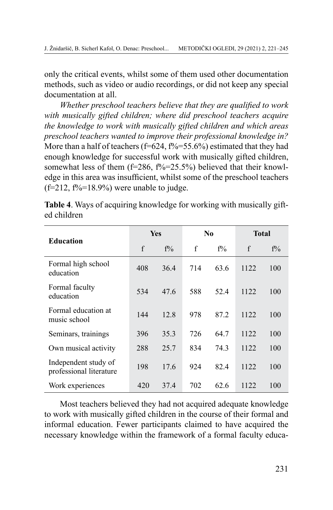only the critical events, whilst some of them used other documentation methods, such as video or audio recordings, or did not keep any special documentation at all.

*Whether preschool teachers believe that they are qualified to work with musically gifted children; where did preschool teachers acquire the knowledge to work with musically gifted children and which areas preschool teachers wanted to improve their professional knowledge in?* More than a half of teachers (f=624, f%=55.6%) estimated that they had enough knowledge for successful work with musically gifted children, somewhat less of them  $(f=286, f\%=25.5\%)$  believed that their knowledge in this area was insufficient, whilst some of the preschool teachers  $(f=212, f\% = 18.9\%)$  were unable to judge.

|                                                 |     | <b>Yes</b> |     | N <sub>0</sub> |              | <b>Total</b> |  |
|-------------------------------------------------|-----|------------|-----|----------------|--------------|--------------|--|
| <b>Education</b>                                | f   | $f\%$      | f   | $f\%$          | $\mathbf{f}$ | $f\%$        |  |
| Formal high school<br>education                 | 408 | 36.4       | 714 | 63.6           | 1122         | 100          |  |
| Formal faculty<br>education                     | 534 | 47.6       | 588 | 52.4           | 1122         | 100          |  |
| Formal education at<br>music school             | 144 | 12.8       | 978 | 87.2           | 1122         | 100          |  |
| Seminars, trainings                             | 396 | 35.3       | 726 | 64.7           | 1122         | 100          |  |
| Own musical activity                            | 288 | 25.7       | 834 | 74.3           | 1122         | 100          |  |
| Independent study of<br>professional literature | 198 | 17.6       | 924 | 82.4           | 1122         | 100          |  |
| Work experiences                                | 420 | 37.4       | 702 | 62.6           | 1122         | 100          |  |

**Table 4**. Ways of acquiring knowledge for working with musically gifted children

Most teachers believed they had not acquired adequate knowledge to work with musically gifted children in the course of their formal and informal education. Fewer participants claimed to have acquired the necessary knowledge within the framework of a formal faculty educa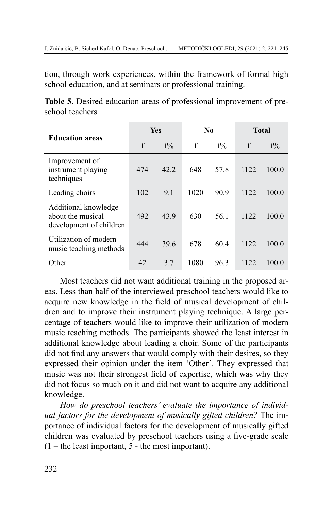tion, through work experiences, within the framework of formal high school education, and at seminars or professional training.

| Table 5. Desired education areas of professional improvement of pre- |  |  |  |
|----------------------------------------------------------------------|--|--|--|
| school teachers                                                      |  |  |  |

| <b>Education areas</b>                                               | <b>Yes</b> |       | N <sub>0</sub> |       | <b>Total</b> |       |
|----------------------------------------------------------------------|------------|-------|----------------|-------|--------------|-------|
|                                                                      | f          | $f\%$ | $\mathbf f$    | $f\%$ | $\mathbf{f}$ | $f\%$ |
| Improvement of<br>instrument playing<br>techniques                   | 474        | 42.2  | 648            | 57.8  | 1122         | 100.0 |
| Leading choirs                                                       | 102        | 9.1   | 1020           | 90.9  | 1122         | 100.0 |
| Additional knowledge<br>about the musical<br>development of children | 492        | 43.9  | 630            | 561   | 1122         | 100.0 |
| Utilization of modern<br>music teaching methods                      | 444        | 39.6  | 678            | 60.4  | 1122         | 100.0 |
| Other                                                                | 42         | 3.7   | 1080           | 96.3  | 1122         | 100.0 |

Most teachers did not want additional training in the proposed areas. Less than half of the interviewed preschool teachers would like to acquire new knowledge in the field of musical development of children and to improve their instrument playing technique. A large percentage of teachers would like to improve their utilization of modern music teaching methods. The participants showed the least interest in additional knowledge about leading a choir. Some of the participants did not find any answers that would comply with their desires, so they expressed their opinion under the item 'Other'. They expressed that music was not their strongest field of expertise, which was why they did not focus so much on it and did not want to acquire any additional knowledge.

*How do preschool teachers' evaluate the importance of individual factors for the development of musically gifted children?* The importance of individual factors for the development of musically gifted children was evaluated by preschool teachers using a five-grade scale  $(1 -$  the least important, 5 - the most important).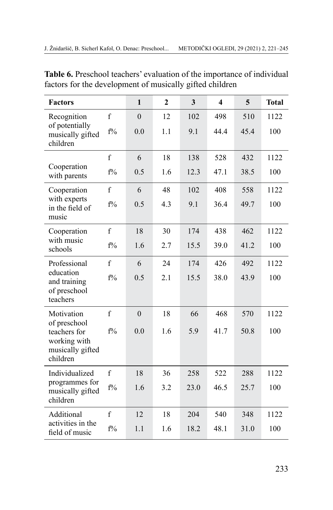| <b>Factors</b>                                                               |             | $\mathbf{1}$   | $\overline{2}$ | $\overline{\mathbf{3}}$ | $\overline{\mathbf{4}}$ | 5    | <b>Total</b> |
|------------------------------------------------------------------------------|-------------|----------------|----------------|-------------------------|-------------------------|------|--------------|
| Recognition                                                                  | f           | $\overline{0}$ | 12             | 102                     | 498                     | 510  | 1122         |
| of potentially<br>musically gifted<br>children                               | $f\%$       | 0.0            | 1.1            | 9.1                     | 44.4                    | 45.4 | 100          |
|                                                                              | $\mathbf f$ | 6              | 18             | 138                     | 528                     | 432  | 1122         |
| Cooperation<br>with parents                                                  | $f\%$       | 0.5            | 1.6            | 12.3                    | 47.1                    | 38.5 | 100          |
| Cooperation                                                                  | $\mathbf f$ | 6              | 48             | 102                     | 408                     | 558  | 1122         |
| with experts<br>in the field of                                              | $f\%$       | 0.5            | 4.3            | 9.1                     | 36.4                    | 49.7 | 100          |
| music                                                                        |             |                |                |                         |                         |      |              |
| Cooperation                                                                  | f           | 18             | 30             | 174                     | 438                     | 462  | 1122         |
| with music<br>schools                                                        | $f\%$       | 1.6            | 2.7            | 15.5                    | 39.0                    | 41.2 | 100          |
| Professional                                                                 | $\mathbf f$ | 6              | 24             | 174                     | 426                     | 492  | 1122         |
| education<br>and training<br>of preschool<br>teachers                        | $f\%$       | 0.5            | 2.1            | 15.5                    | 38.0                    | 43.9 | 100          |
| Motivation                                                                   | f           | $\mathbf{0}$   | 18             | 66                      | 468                     | 570  | 1122         |
| of preschool<br>teachers for<br>working with<br>musically gifted<br>children | $f\%$       | 0.0            | 1.6            | 5.9                     | 41.7                    | 50.8 | 100          |
| Individualized<br>programmes for<br>musically gifted<br>children             | $\mathbf f$ | 18             | 36             | 258                     | 522                     | 288  | 1122         |
|                                                                              | $f\%$       | 1.6            | 3.2            | 23.0                    | 46.5                    | 25.7 | 100          |
| Additional                                                                   | $\mathbf f$ | 12             | 18             | 204                     | 540                     | 348  | 1122         |
| activities in the<br>field of music                                          | $f\%$       | 1.1            | 1.6            | 18.2                    | 48.1                    | 31.0 | 100          |

**Table 6.** Preschool teachers' evaluation of the importance of individual factors for the development of musically gifted children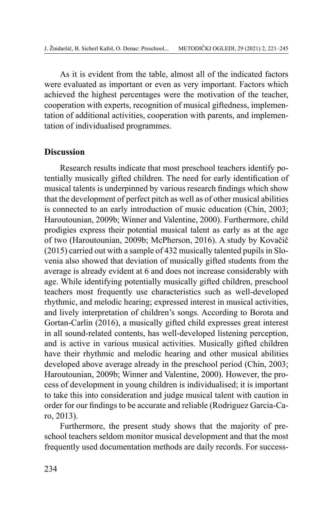As it is evident from the table, almost all of the indicated factors were evaluated as important or even as very important. Factors which achieved the highest percentages were the motivation of the teacher, cooperation with experts, recognition of musical giftedness, implementation of additional activities, cooperation with parents, and implementation of individualised programmes.

#### **Discussion**

Research results indicate that most preschool teachers identify potentially musically gifted children. The need for early identification of musical talents is underpinned by various research findings which show that the development of perfect pitch as well as of other musical abilities is connected to an early introduction of music education (Chin, 2003; Haroutounian, 2009b; Winner and Valentine, 2000). Furthermore, child prodigies express their potential musical talent as early as at the age of two (Haroutounian, 2009b; McPherson, 2016). A study by Kovačič  $(2015)$  carried out with a sample of 432 musically talented pupils in Slovenia also showed that deviation of musically gifted students from the average is already evident at 6 and does not increase considerably with age. While identifying potentially musically gifted children, preschool teachers most frequently use characteristics such as well-developed rhythmic, and melodic hearing; expressed interest in musical activities, and lively interpretation of children's songs. According to Borota and Gortan-Carlin (2016), a musically gifted child expresses great interest in all sound-related contents, has well-developed listening perception, and is active in various musical activities. Musically gifted children have their rhythmic and melodic hearing and other musical abilities developed above average already in the preschool period (Chin, 2003; Haroutounian, 2009b; Winner and Valentine, 2000). However, the process of development in young children is individualised; it is important to take this into consideration and judge musical talent with caution in order for our findings to be accurate and reliable (Rodriguez Garcia-Caro, 2013).

Furthermore, the present study shows that the majority of preschool teachers seldom monitor musical development and that the most frequently used documentation methods are daily records. For success-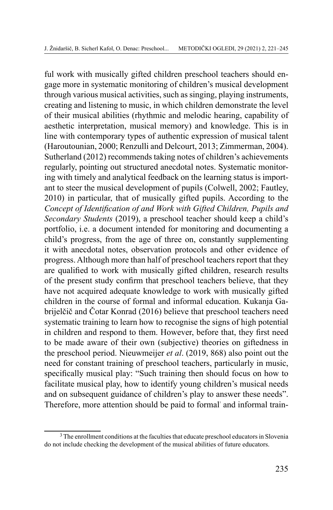ful work with musically gifted children preschool teachers should engage more in systematic monitoring of children's musical development through various musical activities, such as singing, playing instruments, creating and listening to music, in which children demonstrate the level of their musical abilities (rhythmic and melodic hearing, capability of aesthetic interpretation, musical memory) and knowledge. This is in line with contemporary types of authentic expression of musical talent (Haroutounian, 2000; Renzulli and Delcourt, 2013; Zimmerman, 2004). Sutherland (2012) recommends taking notes of children's achievements regularly, pointing out structured anecdotal notes. Systematic monitoring with timely and analytical feedback on the learning status is important to steer the musical development of pupils (Colwell, 2002; Fautley, 2010) in particular, that of musically gifted pupils. According to the *Concept of Identification of and Work with Gifted Children, Pupils and Secondary Students* (2019), a preschool teacher should keep a child's portfolio, i.e. a document intended for monitoring and documenting a child's progress, from the age of three on, constantly supplementing it with anecdotal notes, observation protocols and other evidence of progress. Although more than half of preschool teachers report that they are qualified to work with musically gifted children, research results of the present study confirm that preschool teachers believe, that they have not acquired adequate knowledge to work with musically gifted children in the course of formal and informal education. Kukanja Gabrijelčič and Čotar Konrad (2016) believe that preschool teachers need systematic training to learn how to recognise the signs of high potential in children and respond to them. However, before that, they first need to be made aware of their own (subjective) theories on giftedness in the preschool period. Nieuwmeijer *et al*. (2019, 868) also point out the need for constant training of preschool teachers, particularly in music, specifically musical play: "Such training then should focus on how to facilitate musical play, how to identify young children's musical needs and on subsequent guidance of children's play to answer these needs". Therefore, more attention should be paid to formal' and informal train-

<sup>&</sup>lt;sup>3</sup> The enrollment conditions at the faculties that educate preschool educators in Slovenia do not include checking the development of the musical abilities of future educators.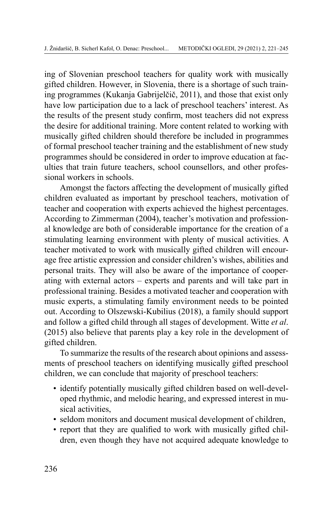ing of Slovenian preschool teachers for quality work with musically gifted children. However, in Slovenia, there is a shortage of such training programmes (Kukanja Gabrijelčič, 2011), and those that exist only have low participation due to a lack of preschool teachers' interest. As the results of the present study confirm, most teachers did not express the desire for additional training. More content related to working with musically gifted children should therefore be included in programmes of formal preschool teacher training and the establishment of new study programmes should be considered in order to improve education at faculties that train future teachers, school counsellors, and other professional workers in schools.

Amongst the factors affecting the development of musically gifted children evaluated as important by preschool teachers, motivation of teacher and cooperation with experts achieved the highest percentages. According to Zimmerman (2004), teacher's motivation and professional knowledge are both of considerable importance for the creation of a stimulating learning environment with plenty of musical activities. A teacher motivated to work with musically gifted children will encourage free artistic expression and consider children's wishes, abilities and personal traits. They will also be aware of the importance of cooperating with external actors – experts and parents and will take part in professional training. Besides a motivated teacher and cooperation with music experts, a stimulating family environment needs to be pointed out. According to Olszewski-Kubilius (2018), a family should support and follow a gifted child through all stages of development. Witte *et al*. (2015) also believe that parents play a key role in the development of gifted children.

To summarize the results of the research about opinions and assessments of preschool teachers on identifying musically gifted preschool children, we can conclude that majority of preschool teachers:

- identify potentially musically gifted children based on well-developed rhythmic, and melodic hearing, and expressed interest in musical activities,
- seldom monitors and document musical development of children,
- report that they are qualified to work with musically gifted children, even though they have not acquired adequate knowledge to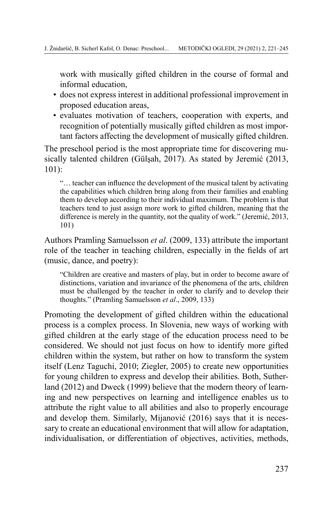work with musically gifted children in the course of formal and informal education,

- does not express interest in additional professional improvement in proposed education areas,
- evaluates motivation of teachers, cooperation with experts, and recognition of potentially musically gifted children as most important factors affecting the development of musically gifted children.

The preschool period is the most appropriate time for discovering musically talented children (Gülsah, 2017). As stated by Jeremić (2013, 101):

"… teacher can influence the development of the musical talent by activating the capabilities which children bring along from their families and enabling them to develop according to their individual maximum. The problem is that teachers tend to just assign more work to gifted children, meaning that the difference is merely in the quantity, not the quality of work." (Jeremić, 2013, 101)

Authors Pramling Samuelsson *et al*. (2009, 133) attribute the important role of the teacher in teaching children, especially in the fields of art (music, dance, and poetry):

"Children are creative and masters of play, but in order to become aware of distinctions, variation and invariance of the phenomena of the arts, children must be challenged by the teacher in order to clarify and to develop their thoughts." (Pramling Samuelsson *et al*., 2009, 133)

Promoting the development of gifted children within the educational process is a complex process. In Slovenia, new ways of working with gifted children at the early stage of the education process need to be considered. We should not just focus on how to identify more gifted children within the system, but rather on how to transform the system itself (Lenz Taguchi, 2010; Ziegler, 2005) to create new opportunities for young children to express and develop their abilities. Both, Sutherland (2012) and Dweck (1999) believe that the modern theory of learning and new perspectives on learning and intelligence enables us to attribute the right value to all abilities and also to properly encourage and develop them. Similarly, Mijanović (2016) says that it is necessary to create an educational environment that will allow for adaptation, individualisation, or differentiation of objectives, activities, methods,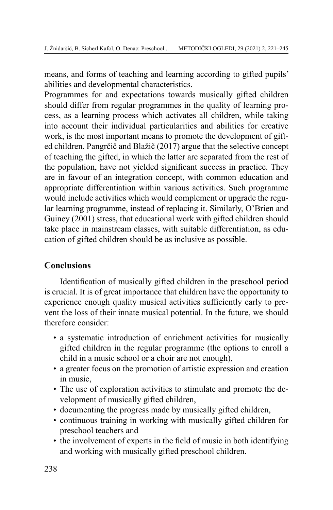means, and forms of teaching and learning according to gifted pupils' abilities and developmental characteristics.

Programmes for and expectations towards musically gifted children should differ from regular programmes in the quality of learning process, as a learning process which activates all children, while taking into account their individual particularities and abilities for creative work, is the most important means to promote the development of gifted children. Pangrčič and Blažič (2017) argue that the selective concept of teaching the gifted, in which the latter are separated from the rest of the population, have not yielded significant success in practice. They are in favour of an integration concept, with common education and appropriate differentiation within various activities. Such programme would include activities which would complement or upgrade the regular learning programme, instead of replacing it. Similarly, O'Brien and Guiney (2001) stress, that educational work with gifted children should take place in mainstream classes, with suitable differentiation, as education of gifted children should be as inclusive as possible.

# **Conclusions**

Identification of musically gifted children in the preschool period is crucial. It is of great importance that children have the opportunity to experience enough quality musical activities sufficiently early to prevent the loss of their innate musical potential. In the future, we should therefore consider:

- a systematic introduction of enrichment activities for musically gifted children in the regular programme (the options to enroll a child in a music school or a choir are not enough),
- a greater focus on the promotion of artistic expression and creation in music,
- The use of exploration activities to stimulate and promote the development of musically gifted children,
- documenting the progress made by musically gifted children,
- continuous training in working with musically gifted children for preschool teachers and
- the involvement of experts in the field of music in both identifying and working with musically gifted preschool children.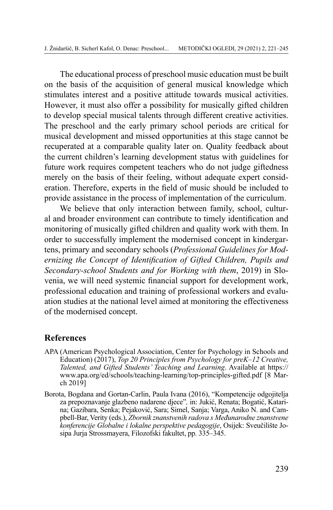The educational process of preschool music education must be built on the basis of the acquisition of general musical knowledge which stimulates interest and a positive attitude towards musical activities. However, it must also offer a possibility for musically gifted children to develop special musical talents through different creative activities. The preschool and the early primary school periods are critical for musical development and missed opportunities at this stage cannot be recuperated at a comparable quality later on. Quality feedback about the current children's learning development status with guidelines for future work requires competent teachers who do not judge giftedness merely on the basis of their feeling, without adequate expert consideration. Therefore, experts in the field of music should be included to provide assistance in the process of implementation of the curriculum.

We believe that only interaction between family, school, cultural and broader environment can contribute to timely identification and monitoring of musically gifted children and quality work with them. In order to successfully implement the modernised concept in kindergartens, primary and secondary schools (*Professional Guidelines for Modernizing the Concept of Identification of Gifted Children, Pupils and Secondary-school Students and for Working with them*, 2019) in Slovenia, we will need systemic financial support for development work, professional education and training of professional workers and evaluation studies at the national level aimed at monitoring the effectiveness of the modernised concept.

## **References**

- APA (American Psychological Association, Center for Psychology in Schools and Education) (2017), *Top 20 Principles from Psychology for preK–12 Creative, Talented, and Gifted Students' Teaching and Learning*. Available at [https://](https://www.apa.org/ed/schools/teaching-learning/top-principles-gifted.pdf) [www.apa.org/ed/schools/teaching-learning/top-principles-gifted.pdf](https://www.apa.org/ed/schools/teaching-learning/top-principles-gifted.pdf) [8 March 2019]
- Borota, Bogdana and Gortan-Carlin, Paula Ivana (2016), "Kompetencije odgojitelja za prepoznavanje glazbeno nadarene djece"*,* in: Jukić, Renata; Bogatić, Katarina; Gazibara, Senka; Pejaković, Sara; Simel, Sanja; Varga, Aniko N. and Campbell-Bar, Verity (eds.), *Zbornik znanstvenih radova s Međunarodne znanstvene konferencije Globalne i lokalne perspektive pedagogije*, Osijek: Sveučilište Josipa Jurja Strossmayera, Filozofski fakultet, pp. 335–345.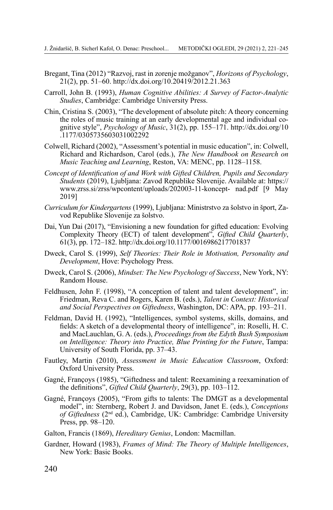- Bregant, Tina (2012) "Razvoj, rast in zorenje možganov", *Horizons of Psychology*, 21(2), pp. 51–60. <http://dx.doi.org/10.20419/2012.21.363>
- Carroll, John B. (1993), *Human Cognitive Abilities: A Survey of Factor-Analytic Studies*, Cambridge: Cambridge University Press.
- Chin, Cristina S. (2003), "The development of absolute pitch: A theory concerning the roles of music training at an early developmental age and individual cognitive style", *Psychology of Music*, 31(2), pp. 155–171. [http://dx.doi.org/10](http://dx.doi.org/10.1177/0305735603031002292) [.1177/0305735603031002292](http://dx.doi.org/10.1177/0305735603031002292)
- Colwell, Richard (2002), "Assessment's potential in music education", in: Colwell, Richard and Richardson, Carol (eds.), *The New Handbook on Research on Music Teaching and Learning*, Reston, VA: MENC, pp. 1128–1158.
- *Concept of Identification of and Work with Gifted Children, Pupils and Secondary Students* (2019), Ljubljana: Zavod Republike Slovenije. Available at: [https://](https://www.zrss.si/zrss/wpcontent/uploads/202003-11-koncept- nad.pdf) [www.zrss.si/zrss/wpcontent/uploads/202003-11-koncept-](https://www.zrss.si/zrss/wpcontent/uploads/202003-11-koncept- nad.pdf) nad.pdf [9 May 2019]
- *Curriculum for Kindergartens* (1999), Ljubljana: Ministrstvo za šolstvo in šport, Zavod Republike Slovenije za šolstvo.
- Dai, Yun Dai (2017), "Envisioning a new foundation for gifted education: Evolving Complexity Theory (ECT) of talent development", *Gifted Child Quarterly*, 61(3), pp. 172–182. <http://dx.doi.org/10.1177/0016986217701837>
- Dweck, Carol S. (1999), *Self Theories: Their Role in Motivation, Personality and Development*, Hove: Psychology Press.
- Dweck, Carol S. (2006), *Mindset: The New Psychology of Success*, New York, NY: Random House.
- Feldhusen, John F. (1998), "A conception of talent and talent development", in: Friedman, Reva C. and Rogers, Karen B. (eds.), *Talent in Context: Historical and Social Perspectives on Giftedness*, Washington, DC: APA, pp. 193–211.
- Feldman, David H. (1992), "Intelligences, symbol systems, skills, domains, and fields: A sketch of a developmental theory of intelligence", in: Roselli, H. C. and MacLauchlan, G. A. (eds.), *Proceedings from the Edyth Bush Symposium on Intelligence: Theory into Practice, Blue Printing for the Future*, Tampa: University of South Florida, pp. 37–43.
- Fautley, Martin (2010), *Assessment in Music Education Classroom*, Oxford: Oxford University Press.
- Gagné, Françoys (1985), "Giftedness and talent: Reexamining a reexamination of the definitions", *Gifted Child Quarterly*, 29(3), pp. 103–112.
- Gagné, Françoys (2005), "From gifts to talents: The DMGT as a developmental model", in: Sternberg, Robert J. and Davidson, Janet E. (eds.), *Conceptions of Giftedness* (2nd ed.), Cambridge, UK: Cambridge: Cambridge University Press, pp. 98–120.
- Galton, Francis (1869), *Hereditary Genius*, London: Macmillan.
- Gardner, Howard (1983), *Frames of Mind: The Theory of Multiple Intelligences*, New York: Basic Books.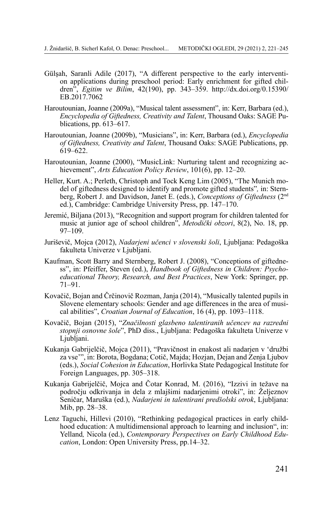- Gülşah, Saranli Adile (2017), "A different perspective to the early intervention applications during preschool period: Early enrichment for gifted children", *Egitim ve Bilim*, 42(190), pp. 343–359. [http://dx.doi.org/0.15390/](http://dx.doi.org/0.15390/EB.2017.7062) [EB.2017.7062](http://dx.doi.org/0.15390/EB.2017.7062)
- Haroutounian, Joanne (2009a), "Musical talent assessment", in: Kerr, Barbara (ed.), *Encyclopedia of Giftedness, Creativity and Talent*, Thousand Oaks: SAGE Publications, pp. 613–617.
- Haroutounian, Joanne (2009b), "Musicians", in: Kerr, Barbara (ed.), *Encyclopedia of Giftedness, Creativity and Talent*, Thousand Oaks: SAGE Publications, pp.  $619 - 622$ .
- Haroutounian, Joanne (2000), "MusicLink: Nurturing talent and recognizing achievement", *Arts Education Policy Review*, 101(6), pp. 12–20.
- Heller, Kurt. A.; Perleth, Christoph and Tock Keng Lim (2005), "The Munich model of giftedness designed to identify and promote gifted students"*,* in: Sternberg, Robert J. and Davidson, Janet E. (eds.), *Conceptions of Giftedness* (2nd ed.), Cambridge: Cambridge University Press, pp. 147–170.
- Jeremić, Biljana (2013), "Recognition and support program for children talented for music at junior age of school children", *Metodički obzori*, 8(2), No. 18, pp. 97–109.
- Juriševič, Mojca (2012), *Nadarjeni učenci v slovenski šoli*, Ljubljana: Pedagoška fakulteta Univerze v Ljubljani.
- Kaufman, Scott Barry and Sternberg, Robert J. (2008), "Conceptions of giftedness", in: Pfeiffer, Steven (ed.), *Handbook of Giftedness in Children: Psychoeducational Theory, Research, and Best Practices*, New York: Springer, pp. 71–91.
- Kovačič, Bojan and Črčinovič Rozman, Janja (2014), "Musically talented pupils in Slovene elementary schools: Gender and age differences in the area of musical abilities", *Croatian Journal of Education*, 16 (4), pp. 1093–1118.
- Kovačič, Bojan (2015), "*Značilnosti glasbeno talentiranih učencev na razredni stopnji osnovne šole*", PhD diss., Ljubljana: Pedagoška fakulteta Univerze v Ljubljani.
- Kukanja Gabrijelčič, Mojca (2011), "Pravičnost in enakost ali nadarjen v 'družbi za vse'", in: Borota, Bogdana; Cotič, Majda; Hozjan, Dejan and Zenja Ljubov (eds.), *Social Cohesion in Education*, Horlivka State Pedagogical Institute for Foreign Languages, pp. 305–318.
- Kukanja Gabrijelčič, Mojca and Čotar Konrad, M. (2016), "Izzivi in težave na področju odkrivanja in dela z mlajšimi nadarjenimi otroki", in: Željeznov Seničar, Maruška (ed.), *Nadarjeni in talentirani predšolski otrok*, Ljubljana: Mib, pp. 28–38.
- Lenz Taguchi, Hillevi (2010), "Rethinking pedagogical practices in early childhood education: A multidimensional approach to learning and inclusion", in: Yelland*,* Nicola (ed.), *Contemporary Perspectives on Early Childhood Education*, London: Open University Press, pp.14–32.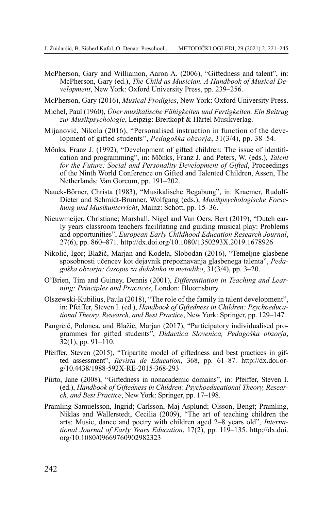McPherson, Gary and Williamon, Aaron A. (2006), "Giftedness and talent", in: McPherson, Gary (ed.), *The Child as Musician. A Handbook of Musical Development*, New York: Oxford University Press, pp. 239–256.

McPherson, Gary (2016), *Musical Prodigies*, New York: Oxford University Press.

- Michel, Paul (1960), *Über musikalische Fähigkeiten und Fertigkeiten. Ein Beitrag zur Musikpsychologie*, Leipzig: Breitkopf & Härtel Musikverlag.
- Mijanović, Nikola (2016), "Personalised instruction in function of the development of gifted students", *[Pedagoška obzorja](http://www.dlib.si/results/?&query=%27rele%253dPedago%25c5%25a1ka%2bobzorja%27)*, 31(3/4), pp. 38–54.
- Mönks, Franz J. (1992), "Development of gifted children: The issue of identification and programming", in: Mönks, Franz J. and Peters, W. (eds.), *Talent for the Future: Social and Personality Development of Gifted*, Proceedings of the Ninth World Conference on Gifted and Talented Children, Assen, The Netherlands: Van Gorcum, pp. 191–202.
- Nauck-Börner, Christa (1983), "Musikalische Begabung", in: Kraemer, Rudolf-Dieter and Schmidt-Brunner, Wolfgang (eds.), *Musikpsychologische Forschung und Musikunterricht*, Mainz: Schott, pp. 15–36.
- Nieuwmeijer, Christiane; Marshall, Nigel and Van Oers, Bert (2019), "Dutch early years classroom teachers facilitating and guiding musical play: Problems and opportunities", *European Early Childhood Education Research Journal*, 27(6), pp. 860–871. <http://dx.doi.org/10.1080/1350293X.2019.1678926>
- Nikolić, Igor; Blažič, Marjan and Kodela, Slobodan (2016), "Temeljne glasbene sposobnosti učencev kot dejavnik prepoznavanja glasbenega talenta", *Pedagoška obzorja: časopis za didaktiko in metodiko*, 31(3/4), pp. 3–20.
- O'Brien, Tim and Guiney, Dennis (2001), *Differentiation in Teaching and Learning: Principles and Practices*, London: Bloomsbury.
- Olszewski-Kubilius, Paula (2018), "The role of the family in talent development", in: Pfeiffer, Steven I. (ed.), *Handbook of Giftedness in Children: Psychoeducational Theory, Research, and Best Practice*, New York: Springer, pp. 129–147.
- Pangrčič, Polonca, and Blažič, Marjan (2017), "Participatory individualised programmes for gifted students", *Didactica Slovenica, Pedagoška obzorja*,  $\bar{3}2(1)$ , pp. 91–110.
- Pfeiffer, Steven (2015), "Tripartite model of giftedness and best practices in gifted assessment", *Revista de Education*, 368, pp. 61–87. [http://dx.doi.or](http://dx.doi.org/10.4438/1988-592X-RE-2015-368-293)[g/10.4438/1988-592X-RE-2015-368-293](http://dx.doi.org/10.4438/1988-592X-RE-2015-368-293)
- Piirto, Jane (2008), "Giftedness in nonacademic domains", in: Pfeiffer, Steven I. (ed.), *Handbook of Giftedness in Children: Psychoeducational Theory, Research, and Best Practice*, New York: Springer, pp. 17–198.
- Pramling Samuelsson, Ingrid; Carlsson, Maj Asplund; Olsson, Bengt; Pramling, Niklas and Wallerstedt, Cecilia (2009), "The art of teaching children the arts: Music, dance and poetry with children aged 2–8 years old", *International Journal of Early Years Education*, 17(2), pp. 119–135. [http://dx.doi.](http://dx.doi.org/10.1080/09669760902982323) [org/10.1080/09669760902982323](http://dx.doi.org/10.1080/09669760902982323)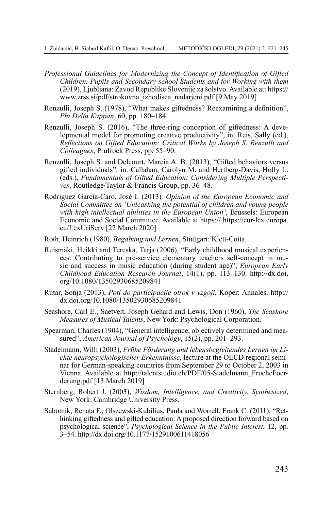- *Professional Guidelines for Modernizing the Concept of Identification of Gifted Children, Pupils and Secondary-school Students and for Working with them* (2019), Ljubljana: Zavod Republike Slovenije za šolstvo.Available at: [https://](https://www.zrss.si/pdf/strokovna_izhodisca_nadarjeni.pdf %5b9) [www.zrss.si/pdf/strokovna\\_izhodisca\\_nadarjeni.pdf](https://www.zrss.si/pdf/strokovna_izhodisca_nadarjeni.pdf %5b9) [9 May 2019]
- Renzulli, Joseph S. (1978), "What makes giftedness? Reexamining a definition", *Phi Delta Kappan*, 60, pp. 180–184.
- Renzulli, Joseph S. (2016), "The three-ring conception of giftedness: A developmental model for promoting creative productivity", in: Reis, Sally (ed.), *Reflections on Gifted Education: Critical Works by Joseph S. Renzulli and Colleagues*, Prufrock Press, pp. 55–90.
- Renzulli, Joseph S. and Delcourt, Marcia A. B. (2013), "Gifted behaviors versus gifted individuals", in: Callahan, Carolyn M. and Hertberg-Davis, Holly L. (eds.), *Fundamentals of Gifted Education: Considering Multiple Perspectives*, Routledge/Taylor & Francis Group, pp. 36–48.
- Rodriguez Garcia-Caro, José I. (2013)*, Opinion of the European Economic and Social Committee on 'Unleashing the potential of children and young people with high intellectual abilities in the European Union'*, Brussels: European Economic and Social Committee. Available at https:// [https://eur-lex.europa.](https://eur-lex.europa.eu/LexUriServ %5b22) [eu/LexUriServ](https://eur-lex.europa.eu/LexUriServ %5b22) [22 March 2020]
- Roth, Heinrich (1980), *Begabung und Lernen*, Stuttgart: Klett-Cotta.
- Ruismäki, Heikki and Tereska, Tarja (2006), "Early childhood musical experiences: Contributing to pre-service elementary teachers self-concept in music and success in music education (during student age)", *European Early Childhood Education Research Journal*, 14(1), pp. 113–130. [http://dx.doi.](http://dx.doi.org/10.1080/13502930685209841) [org/10.1080/13502930685209841](http://dx.doi.org/10.1080/13502930685209841)
- Rutar, Sonja (2013), *Poti do participacije otrok v vzgoji*, Koper: Annales. [http://](http://dx.doi.org/10.1080/13502930685209841) [dx.doi.org/10.1080/13502930685209841](http://dx.doi.org/10.1080/13502930685209841)
- Seashore, Carl E.; Saetveit, Joseph Gehard and Lewis, Don (1960), *The Seashore Measures of Musical Talents*, New York: Psychological Corporation.
- Spearman, Charles (1904), "General intelligence, objectively determined and measured", *American Journal of Psychology*, 15(2), pp. 201–293.
- Stadelmann, Willi (2003), *Frühe Förderung und lebensbegleitendes Lernen im Lichte neuropsychologischer Erkenntnisse*, lecture at the OECD regional seminar for German-speaking countries from September 29 to October 2, 2003 in Vienna. Available at [http://talentstudio.ch/PDF/05-Stadelmann\\_FrueheFoer](http://talentstudio.ch/PDF/05-Stadelmann_FrueheFoerderung.pdf %5b13)[derung.pdf](http://talentstudio.ch/PDF/05-Stadelmann_FrueheFoerderung.pdf %5b13) [13 March 2019]
- Sternberg, Robert J. (2003), *Wisdom, Intelligence, and Creativity, Synthesized*, New York: Cambridge University Press.
- Subotnik, Renata F.; Olszewski-Kubilius, Paula and Worrell, Frank C. (2011), "Rethinking giftedness and gifted education: A proposed direction forward based on psychological science", *Psychological Science in the Public Interest*, 12, pp. 3–54. <http://dx.doi.org/10.1177/1529100611418056>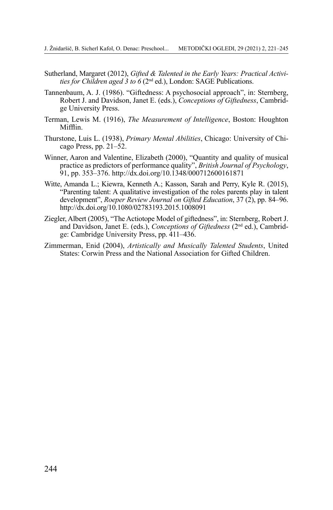- Sutherland, Margaret (2012), *Gifted & Talented in the Early Years: Practical Activities for Children aged 3 to 6* (2nd ed.), London: SAGE Publications.
- Tannenbaum, A. J. (1986). "Giftedness: A psychosocial approach", in: Sternberg, Robert J. and Davidson, Janet E. (eds.), *Conceptions of Giftedness*, Cambridge University Press.
- Terman, Lewis M. (1916), *The Measurement of Intelligence*, Boston: Houghton Mifflin.
- Thurstone, Luis L. (1938), *Primary Mental Abilities*, Chicago: University of Chicago Press, pp. 21–52.
- Winner, Aaron and Valentine, Elizabeth (2000), "Quantity and quality of musical practice as predictors of performance quality", *British Journal of Psychology*, 91, pp. 353–376. <http://dx.doi.org/10.1348/000712600161871>
- Witte, Amanda L.; Kiewra, Kenneth A.; Kasson, Sarah and Perry, Kyle R. (2015), "Parenting talent: A qualitative investigation of the roles parents play in talent development", *Roeper Review Journal on Gifted Education*, 37 (2), pp. 84–96. <http://dx.doi.org/10.1080/02783193.2015.1008091>
- Ziegler, Albert (2005), "The Actiotope Model of giftedness", in: Sternberg, Robert J. and Davidson, Janet E. (eds.), *Conceptions of Giftedness* (2nd ed.), Cambridge: Cambridge University Press, pp. 411–436.
- Zimmerman, Enid (2004), *Artistically and Musically Talented Students*, United States: Corwin Press and the National Association for Gifted Children.